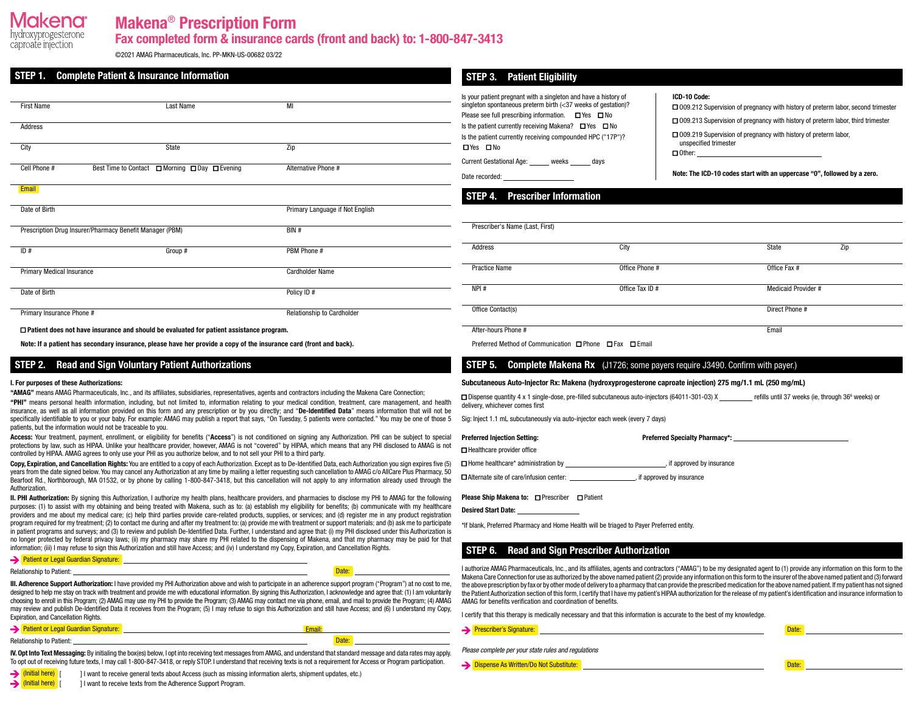# kena

caproate injection

# Makena® Prescription Form

Fax completed form & insurance cards (front and back) to: 1-800-847-3413

©️2021 AMAG Pharmaceuticals, Inc. PP-MKN-US-00682 03/22

| STEP 1.                               | <b>Complete Patient &amp; Insurance Information</b>                                            |                                 | <b>STEP 3. Patient Eligibility</b>                                                                                                                                                                |                       |                                                                                                                                                                         |     |
|---------------------------------------|------------------------------------------------------------------------------------------------|---------------------------------|---------------------------------------------------------------------------------------------------------------------------------------------------------------------------------------------------|-----------------------|-------------------------------------------------------------------------------------------------------------------------------------------------------------------------|-----|
| <b>First Name</b><br><b>Last Name</b> |                                                                                                | MI                              | Is your patient pregnant with a singleton and have a history of<br>singleton spontaneous preterm birth (<37 weeks of gestation)?<br>Please see full prescribing information. $\Box$ Yes $\Box$ No | ICD-10 Code:          | □ 009.212 Supervision of pregnancy with history of preterm labor, second trimester<br>□ 009.213 Supervision of pregnancy with history of preterm labor, third trimester |     |
| Address<br>City                       | State                                                                                          | Zip                             | Is the patient currently receiving Makena? $\Box$ Yes $\Box$ No<br>Is the patient currently receiving compounded HPC ("17P")?<br>□Yes □No                                                         | unspecified trimester | □ 009.219 Supervision of pregnancy with history of preterm labor,<br>$\Box$ Other:                                                                                      |     |
| Cell Phone #                          | Best Time to Contact □ Morning □ Day □ Evening                                                 | Alternative Phone #             | Current Gestational Age: _____ weeks _____ days                                                                                                                                                   |                       | Note: The ICD-10 codes start with an uppercase "0", followed by a zero.                                                                                                 |     |
| Email<br>Date of Birth                |                                                                                                | Primary Language if Not English | <b>Prescriber Information</b><br>STEP 4.                                                                                                                                                          |                       |                                                                                                                                                                         |     |
|                                       | Prescription Drug Insurer/Pharmacy Benefit Manager (PBM)                                       | BIN #                           | Prescriber's Name (Last, First)                                                                                                                                                                   |                       |                                                                                                                                                                         |     |
| ID#                                   | Group #                                                                                        | PBM Phone #                     | Address                                                                                                                                                                                           | City                  | State                                                                                                                                                                   | Zip |
| <b>Primary Medical Insurance</b>      |                                                                                                | <b>Cardholder Name</b>          | <b>Practice Name</b>                                                                                                                                                                              | Office Phone #        | Office Fax #                                                                                                                                                            |     |
| Date of Birth                         |                                                                                                | Policy ID #                     | NPI#                                                                                                                                                                                              | Office Tax ID #       | Medicaid Provider #                                                                                                                                                     |     |
| Primary Insurance Phone #             |                                                                                                | Relationship to Cardholder      | Office Contact(s)                                                                                                                                                                                 |                       | Direct Phone #                                                                                                                                                          |     |
|                                       | $\Box$ Patient does not have insurance and should be evaluated for patient assistance program. |                                 | After-hours Phone #                                                                                                                                                                               |                       | Email                                                                                                                                                                   |     |

Note: If a patient has secondary insurance, please have her provide a copy of the insurance card (front and back).

## STEP 2. Read and Sign Voluntary Patient Authorizations

#### I. For purposes of these Authorizations:

"AMAG" means AMAG Pharmaceuticals, Inc., and its affiliates, subsidiaries, representatives, agents and contractors including the Makena Care Connection;

"PHI" means personal health information, including, but not limited to, information relating to your medical condition, treatment, care management, and health insurance, as well as all information provided on this form and any prescription or by you directly; and "De-Identified Data" means information that will not be specifically identifiable to you or your baby. For example: AMAG may publish a report that says, "On Tuesday, 5 patients were contacted." You may be one of those 5 patients, but the information would not be traceable to you.

Access: Your treatment, payment, enrollment, or eligibility for benefits ("Access") is not conditioned on signing any Authorization. PHI can be subject to special protections by law, such as HIPAA. Unlike your healthcare provider, however, AMAG is not "covered" by HIPAA, which means that any PHI disclosed to AMAG is not controlled by HIPAA. AMAG agrees to only use your PHI as you authorize below, and to not sell your PHI to a third party.

Copy, Expiration, and Cancellation Rights: You are entitled to a copy of each Authorization. Except as to De-Identified Data, each Authorization you sign expires five (5) years from the date signed below. You may cancel any Authorization at any time by mailing a letter requesting such cancellation to AMAG c/o AllCare Plus Pharmacy, 50 Bearfoot Rd., Northborough, MA 01532, or by phone by calling 1-800-847-3418, but this cancellation will not apply to any information already used through the Authorization.

II. PHI Authorization: By signing this Authorization, I authorize my health plans, healthcare providers, and pharmacies to disclose my PHI to AMAG for the following purposes: (1) to assist with my obtaining and being treated with Makena, such as to: (a) establish my eligibility for benefits; (b) communicate with my healthcare providers and me about my medical care; (c) help third parties provide care-related products, supplies, or services; and (d) register me in any product registration program required for my treatment; (2) to contact me during and after my treatment to: (a) provide me with treatment or support materials; and (b) ask me to participate in patient programs and surveys; and (3) to review and publish De-Identified Data. Further, I understand and agree that: (i) my PHI disclosed under this Authorization is no longer protected by federal privacy laws; (ii) my pharmacy may share my PHI related to the dispensing of Makena, and that my pharmacy may be paid for that information; (iii) I may refuse to sign this Authorization and still have Access; and (iv) I understand my Copy, Expiration, and Cancellation Rights.

#### **Patient or Legal Guardian Signature:**

#### **Relationship to Patient:** Date: **Date:** Date: **Date: Property of Patient: Property of Patient: <b>Date:** Date: **Date:** 2004.

III. Adherence Support Authorization: I have provided my PHI Authorization above and wish to participate in an adherence support program ("Program") at no cost to me, designed to help me stay on track with treatment and provide me with educational information. By signing this Authorization, I acknowledge and agree that: (1) I am voluntarily choosing to enroll in this Program; (2) AMAG may use my PHI to provide the Program; (3) AMAG may contact me via phone, email, and mail to provide the Program; (4) AMAG may review and publish De-Identified Data it receives from the Program; (5) I may refuse to sign this Authorization and still have Access; and (6) I understand my Copy, Expiration, and Cancellation Rights.

Patient or Legal Guardian Signature: Relationship to Patient: Date:

IV. Opt Into Text Messaging: By initialing the box(es) below, I opt into receiving text messages from AMAG, and understand that standard message and data rates may apply. To opt out of receiving future texts, I may call 1-800-847-3418, or reply STOP. I understand that receiving texts is not a requirement for Access or Program participation.

(Initial here) [ ] I want to receive general texts about Access (such as missing information alerts, shipment updates, etc.)  $\rightarrow$  (Initial here)  $\boxed{\phantom{0}}$  | I want to receive texts from the Adherence Support Program.

| Address              | City            | State                     | Zip |  |
|----------------------|-----------------|---------------------------|-----|--|
| <b>Practice Name</b> | Office Phone #  | Office Fax #              |     |  |
| NPI#                 | Office Tax ID # | <b>Medicaid Provider#</b> |     |  |
| Office Contact(s)    |                 | Direct Phone #            |     |  |
| After-houre Phone #  |                 | Email                     |     |  |

Preferred Method of Communication □ Phone □ Fax □ Email

## **STEP 5.** Complete Makena Rx (J1726; some payers require J3490. Confirm with payer.)

#### Subcutaneous Auto-Injector Rx: Makena (hydroxyprogesterone caproate injection) 275 mg/1.1 mL (250 mg/mL)

 $\Box$  Dispense quantity 4 x 1 single-dose, pre-filled subcutaneous auto-injectors (64011-301-03) X refills until 37 weeks (ie, through 36<sup>6</sup> weeks) or delivery, whichever comes first

Sig: Inject 1.1 mL subcutaneously via auto-injector each week (every 7 days)

Preferred Injection Setting:

■ Healthcare provider office

 $\Box$  Home healthcare\* administration by  $\Box$  if approved by insurance

Please Ship Makena to: □ Prescriber □ Patient

### STEP 6. Read and Sign Prescriber Authorization

I authorize AMAG Pharmaceuticals, Inc., and its affiliates, agents and contractors ("AMAG") to be my designated agent to (1) provide any information on this form to the Makena Care Connection for use as authorized by the above named patient (2) provide any information on this form to the insurer of the above named patient and (3) forward the above prescription by fax or by other mode of delivery to a pharmacy that can provide the prescribed medication for the above named patient. If my patient has not signed the Patient Authorization section of this form, I certify that I have my patient's HIPAA authorization for the release of my patient's identification and insurance information to AMAG for benefits verification and coordination of benefits.

I certify that this therapy is medically necessary and that this information is accurate to the best of my knowledge.

|  | <b>Prescriber's Signature:</b> |  | лак |  |  |
|--|--------------------------------|--|-----|--|--|
|--|--------------------------------|--|-----|--|--|

*Please complete per your state rules and regulations*

Preferred Specialty Pharmacy\*:

■ Alternate site of care/infusion center: , if approved by insurance

Desired Start Date:

\*If blank, Preferred Pharmacy and Home Health will be triaged to Payer Preferred entity.

**Dispense As Written/Do Not Substitute:** Date: Date: Date: Date: Date: Date: Date: Date: Date: Date: Date: Date: Date: Date: Date: Date: Date: Date: Date: Date: Date: Date: Date: Date: Date: Date: Date: Date: Date: Date: D

|  |  |                      |  | . |  |  |
|--|--|----------------------|--|---|--|--|
|  |  | , if approved by ins |  |   |  |  |
|  |  |                      |  |   |  |  |

| ובמנוטוו אפטנוטוו טו נוווא וט |  |
|-------------------------------|--|
| s verification and coordi     |  |